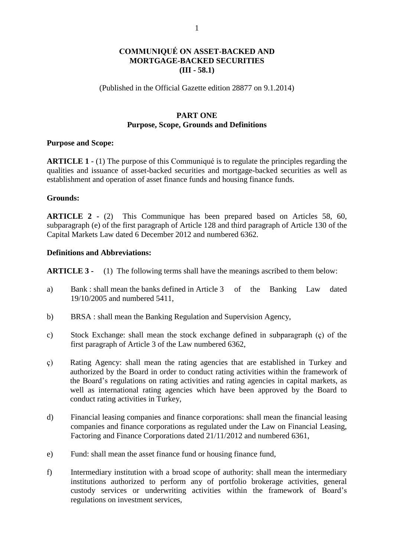# **COMMUNIQUÉ ON ASSET-BACKED AND MORTGAGE-BACKED SECURITIES (III - 58.1)**

#### (Published in the Official Gazette edition 28877 on 9.1.2014)

### **PART ONE Purpose, Scope, Grounds and Definitions**

#### **Purpose and Scope:**

**ARTICLE 1** - (1) The purpose of this Communiqué is to regulate the principles regarding the qualities and issuance of asset-backed securities and mortgage-backed securities as well as establishment and operation of asset finance funds and housing finance funds.

#### **Grounds:**

**ARTICLE 2 -** (2)This Communique has been prepared based on Articles 58, 60, subparagraph (e) of the first paragraph of Article 128 and third paragraph of Article 130 of the Capital Markets Law dated 6 December 2012 and numbered 6362.

#### **Definitions and Abbreviations:**

**ARTICLE 3 -** (1) The following terms shall have the meanings ascribed to them below:

- a) Bank : shall mean the banks defined in Article 3 of the Banking Law dated 19/10/2005 and numbered 5411,
- b) BRSA : shall mean the Banking Regulation and Supervision Agency,
- c) Stock Exchange: shall mean the stock exchange defined in subparagraph (ç) of the first paragraph of Article 3 of the Law numbered 6362,
- ç) Rating Agency: shall mean the rating agencies that are established in Turkey and authorized by the Board in order to conduct rating activities within the framework of the Board's regulations on rating activities and rating agencies in capital markets, as well as international rating agencies which have been approved by the Board to conduct rating activities in Turkey,
- d) Financial leasing companies and finance corporations: shall mean the financial leasing companies and finance corporations as regulated under the Law on Financial Leasing, Factoring and Finance Corporations dated 21/11/2012 and numbered 6361,
- e) Fund: shall mean the asset finance fund or housing finance fund,
- f) Intermediary institution with a broad scope of authority: shall mean the intermediary institutions authorized to perform any of portfolio brokerage activities, general custody services or underwriting activities within the framework of Board's regulations on investment services,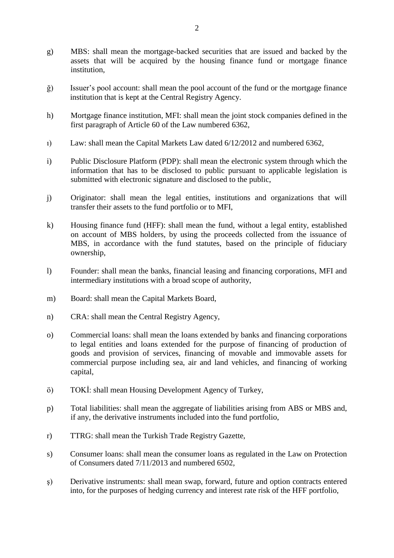- g) MBS: shall mean the mortgage-backed securities that are issued and backed by the assets that will be acquired by the housing finance fund or mortgage finance institution,
- ğ) Issuer's pool account: shall mean the pool account of the fund or the mortgage finance institution that is kept at the Central Registry Agency.
- h) Mortgage finance institution, MFI: shall mean the joint stock companies defined in the first paragraph of Article 60 of the Law numbered 6362,
- ı) Law: shall mean the Capital Markets Law dated 6/12/2012 and numbered 6362,
- i) Public Disclosure Platform (PDP): shall mean the electronic system through which the information that has to be disclosed to public pursuant to applicable legislation is submitted with electronic signature and disclosed to the public,
- j) Originator: shall mean the legal entities, institutions and organizations that will transfer their assets to the fund portfolio or to MFI,
- k) Housing finance fund (HFF): shall mean the fund, without a legal entity, established on account of MBS holders, by using the proceeds collected from the issuance of MBS, in accordance with the fund statutes, based on the principle of fiduciary ownership,
- l) Founder: shall mean the banks, financial leasing and financing corporations, MFI and intermediary institutions with a broad scope of authority,
- m) Board: shall mean the Capital Markets Board,
- n) CRA: shall mean the Central Registry Agency,
- o) Commercial loans: shall mean the loans extended by banks and financing corporations to legal entities and loans extended for the purpose of financing of production of goods and provision of services, financing of movable and immovable assets for commercial purpose including sea, air and land vehicles, and financing of working capital,
- ö) TOKİ: shall mean Housing Development Agency of Turkey,
- p) Total liabilities: shall mean the aggregate of liabilities arising from ABS or MBS and, if any, the derivative instruments included into the fund portfolio,
- r) TTRG: shall mean the Turkish Trade Registry Gazette,
- s) Consumer loans: shall mean the consumer loans as regulated in the Law on Protection of Consumers dated 7/11/2013 and numbered 6502,
- ş) Derivative instruments: shall mean swap, forward, future and option contracts entered into, for the purposes of hedging currency and interest rate risk of the HFF portfolio,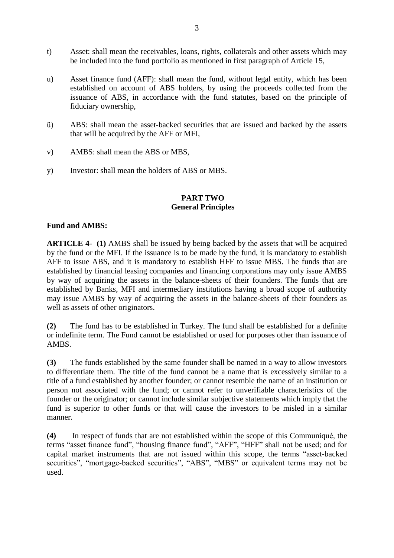- t) Asset: shall mean the receivables, loans, rights, collaterals and other assets which may be included into the fund portfolio as mentioned in first paragraph of Article 15,
- u) Asset finance fund (AFF): shall mean the fund, without legal entity, which has been established on account of ABS holders, by using the proceeds collected from the issuance of ABS, in accordance with the fund statutes, based on the principle of fiduciary ownership,
- ü) ABS: shall mean the asset-backed securities that are issued and backed by the assets that will be acquired by the AFF or MFI,
- v) AMBS: shall mean the ABS or MBS,
- y) Investor: shall mean the holders of ABS or MBS.

### **PART TWO General Principles**

### **Fund and AMBS:**

**ARTICLE 4- (1)** AMBS shall be issued by being backed by the assets that will be acquired by the fund or the MFI. If the issuance is to be made by the fund, it is mandatory to establish AFF to issue ABS, and it is mandatory to establish HFF to issue MBS. The funds that are established by financial leasing companies and financing corporations may only issue AMBS by way of acquiring the assets in the balance-sheets of their founders. The funds that are established by Banks, MFI and intermediary institutions having a broad scope of authority may issue AMBS by way of acquiring the assets in the balance-sheets of their founders as well as assets of other originators.

**(2)** The fund has to be established in Turkey. The fund shall be established for a definite or indefinite term. The Fund cannot be established or used for purposes other than issuance of AMBS.

**(3)** The funds established by the same founder shall be named in a way to allow investors to differentiate them. The title of the fund cannot be a name that is excessively similar to a title of a fund established by another founder; or cannot resemble the name of an institution or person not associated with the fund; or cannot refer to unverifiable characteristics of the founder or the originator; or cannot include similar subjective statements which imply that the fund is superior to other funds or that will cause the investors to be misled in a similar manner.

**(4)** In respect of funds that are not established within the scope of this Communiqué, the terms "asset finance fund", "housing finance fund", "AFF", "HFF" shall not be used; and for capital market instruments that are not issued within this scope, the terms "asset-backed securities", "mortgage-backed securities", "ABS", "MBS" or equivalent terms may not be used.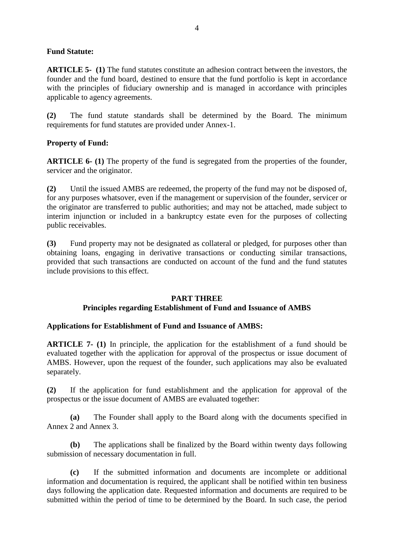## **Fund Statute:**

**ARTICLE 5- (1)** The fund statutes constitute an adhesion contract between the investors, the founder and the fund board, destined to ensure that the fund portfolio is kept in accordance with the principles of fiduciary ownership and is managed in accordance with principles applicable to agency agreements.

**(2)** The fund statute standards shall be determined by the Board. The minimum requirements for fund statutes are provided under Annex-1.

## **Property of Fund:**

**ARTICLE 6- (1)** The property of the fund is segregated from the properties of the founder, servicer and the originator.

**(2)** Until the issued AMBS are redeemed, the property of the fund may not be disposed of, for any purposes whatsover, even if the management or supervision of the founder, servicer or the originator are transferred to public authorities; and may not be attached, made subject to interim injunction or included in a bankruptcy estate even for the purposes of collecting public receivables.

**(3)** Fund property may not be designated as collateral or pledged, for purposes other than obtaining loans, engaging in derivative transactions or conducting similar transactions, provided that such transactions are conducted on account of the fund and the fund statutes include provisions to this effect.

### **PART THREE**

### **Principles regarding Establishment of Fund and Issuance of AMBS**

### **Applications for Establishment of Fund and Issuance of AMBS:**

**ARTICLE 7- (1)** In principle, the application for the establishment of a fund should be evaluated together with the application for approval of the prospectus or issue document of AMBS. However, upon the request of the founder, such applications may also be evaluated separately.

**(2)** If the application for fund establishment and the application for approval of the prospectus or the issue document of AMBS are evaluated together:

**(a)** The Founder shall apply to the Board along with the documents specified in Annex 2 and Annex 3.

**(b)** The applications shall be finalized by the Board within twenty days following submission of necessary documentation in full.

**(c)** If the submitted information and documents are incomplete or additional information and documentation is required, the applicant shall be notified within ten business days following the application date. Requested information and documents are required to be submitted within the period of time to be determined by the Board. In such case, the period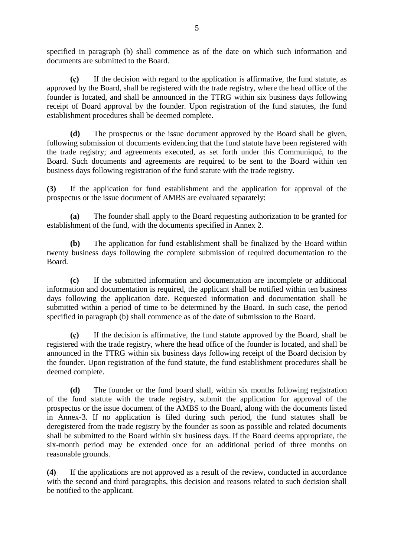specified in paragraph (b) shall commence as of the date on which such information and documents are submitted to the Board.

**(ç)** If the decision with regard to the application is affirmative, the fund statute, as approved by the Board, shall be registered with the trade registry, where the head office of the founder is located, and shall be announced in the TTRG within six business days following receipt of Board approval by the founder. Upon registration of the fund statutes, the fund establishment procedures shall be deemed complete.

**(d)** The prospectus or the issue document approved by the Board shall be given, following submission of documents evidencing that the fund statute have been registered with the trade registry; and agreements executed, as set forth under this Communiqué, to the Board. Such documents and agreements are required to be sent to the Board within ten business days following registration of the fund statute with the trade registry.

**(3)** If the application for fund establishment and the application for approval of the prospectus or the issue document of AMBS are evaluated separately:

**(a)** The founder shall apply to the Board requesting authorization to be granted for establishment of the fund, with the documents specified in Annex 2.

**(b)** The application for fund establishment shall be finalized by the Board within twenty business days following the complete submission of required documentation to the Board.

**(c)** If the submitted information and documentation are incomplete or additional information and documentation is required, the applicant shall be notified within ten business days following the application date. Requested information and documentation shall be submitted within a period of time to be determined by the Board. In such case, the period specified in paragraph (b) shall commence as of the date of submission to the Board.

**(ç)** If the decision is affirmative, the fund statute approved by the Board, shall be registered with the trade registry, where the head office of the founder is located, and shall be announced in the TTRG within six business days following receipt of the Board decision by the founder. Upon registration of the fund statute, the fund establishment procedures shall be deemed complete.

**(d)** The founder or the fund board shall, within six months following registration of the fund statute with the trade registry, submit the application for approval of the prospectus or the issue document of the AMBS to the Board, along with the documents listed in Annex-3. If no application is filed during such period, the fund statutes shall be deregistered from the trade registry by the founder as soon as possible and related documents shall be submitted to the Board within six business days. If the Board deems appropriate, the six-month period may be extended once for an additional period of three months on reasonable grounds.

**(4)** If the applications are not approved as a result of the review, conducted in accordance with the second and third paragraphs, this decision and reasons related to such decision shall be notified to the applicant.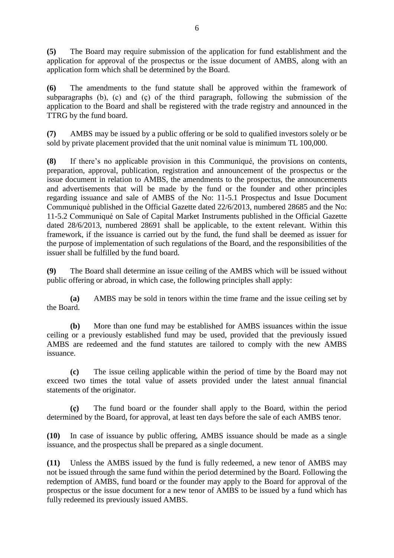**(5)** The Board may require submission of the application for fund establishment and the application for approval of the prospectus or the issue document of AMBS, along with an application form which shall be determined by the Board.

**(6)** The amendments to the fund statute shall be approved within the framework of subparagraphs (b), (c) and (ç) of the third paragraph, following the submission of the application to the Board and shall be registered with the trade registry and announced in the TTRG by the fund board.

**(7)** AMBS may be issued by a public offering or be sold to qualified investors solely or be sold by private placement provided that the unit nominal value is minimum TL 100,000.

**(8)** If there's no applicable provision in this Communiqué, the provisions on contents, preparation, approval, publication, registration and announcement of the prospectus or the issue document in relation to AMBS, the amendments to the prospectus, the announcements and advertisements that will be made by the fund or the founder and other principles regarding issuance and sale of AMBS of the No: 11-5.1 Prospectus and Issue Document Communiqué published in the Official Gazette dated 22/6/2013, numbered 28685 and the No: 11-5.2 Communiqué on Sale of Capital Market Instruments published in the Official Gazette dated 28/6/2013, numbered 28691 shall be applicable, to the extent relevant. Within this framework, if the issuance is carried out by the fund, the fund shall be deemed as issuer for the purpose of implementation of such regulations of the Board, and the responsibilities of the issuer shall be fulfilled by the fund board.

**(9)** The Board shall determine an issue ceiling of the AMBS which will be issued without public offering or abroad, in which case, the following principles shall apply:

**(a)** AMBS may be sold in tenors within the time frame and the issue ceiling set by the Board.

**(b)** More than one fund may be established for AMBS issuances within the issue ceiling or a previously established fund may be used, provided that the previously issued AMBS are redeemed and the fund statutes are tailored to comply with the new AMBS issuance.

**(c)** The issue ceiling applicable within the period of time by the Board may not exceed two times the total value of assets provided under the latest annual financial statements of the originator.

**(ç)** The fund board or the founder shall apply to the Board, within the period determined by the Board, for approval, at least ten days before the sale of each AMBS tenor.

**(10)** In case of issuance by public offering, AMBS issuance should be made as a single issuance, and the prospectus shall be prepared as a single document.

**(11)** Unless the AMBS issued by the fund is fully redeemed, a new tenor of AMBS may not be issued through the same fund within the period determined by the Board. Following the redemption of AMBS, fund board or the founder may apply to the Board for approval of the prospectus or the issue document for a new tenor of AMBS to be issued by a fund which has fully redeemed its previously issued AMBS.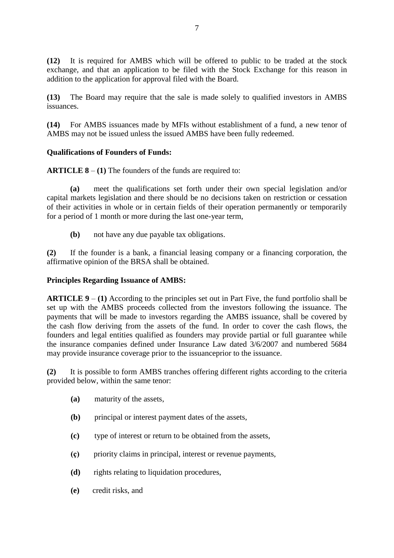**(12)** It is required for AMBS which will be offered to public to be traded at the stock exchange, and that an application to be filed with the Stock Exchange for this reason in addition to the application for approval filed with the Board.

**(13)** The Board may require that the sale is made solely to qualified investors in AMBS issuances.

**(14)** For AMBS issuances made by MFIs without establishment of a fund, a new tenor of AMBS may not be issued unless the issued AMBS have been fully redeemed.

## **Qualifications of Founders of Funds:**

**ARTICLE 8** – **(1)** The founders of the funds are required to:

**(a)** meet the qualifications set forth under their own special legislation and/or capital markets legislation and there should be no decisions taken on restriction or cessation of their activities in whole or in certain fields of their operation permanently or temporarily for a period of 1 month or more during the last one-year term,

**(b)** not have any due payable tax obligations.

**(2)** If the founder is a bank, a financial leasing company or a financing corporation, the affirmative opinion of the BRSA shall be obtained.

### **Principles Regarding Issuance of AMBS:**

**ARTICLE 9** – **(1)** According to the principles set out in Part Five, the fund portfolio shall be set up with the AMBS proceeds collected from the investors following the issuance. The payments that will be made to investors regarding the AMBS issuance, shall be covered by the cash flow deriving from the assets of the fund. In order to cover the cash flows, the founders and legal entities qualified as founders may provide partial or full guarantee while the insurance companies defined under Insurance Law dated 3/6/2007 and numbered 5684 may provide insurance coverage prior to the issuanceprior to the issuance.

**(2)** It is possible to form AMBS tranches offering different rights according to the criteria provided below, within the same tenor:

- **(a)** maturity of the assets,
- **(b)** principal or interest payment dates of the assets,
- **(c)** type of interest or return to be obtained from the assets,
- **(ç)** priority claims in principal, interest or revenue payments,
- **(d)** rights relating to liquidation procedures,
- **(e)** credit risks, and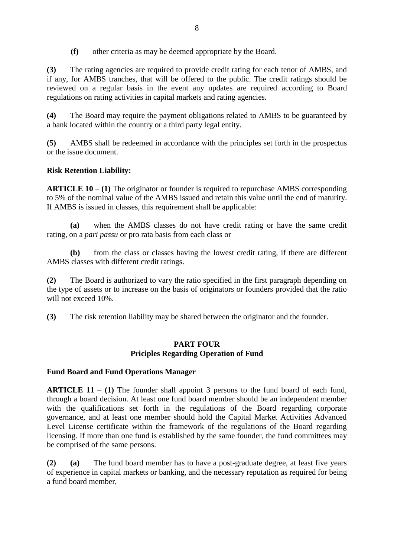**(f)** other criteria as may be deemed appropriate by the Board.

**(3)** The rating agencies are required to provide credit rating for each tenor of AMBS, and if any, for AMBS tranches, that will be offered to the public. The credit ratings should be reviewed on a regular basis in the event any updates are required according to Board regulations on rating activities in capital markets and rating agencies.

**(4)** The Board may require the payment obligations related to AMBS to be guaranteed by a bank located within the country or a third party legal entity.

**(5)** AMBS shall be redeemed in accordance with the principles set forth in the prospectus or the issue document.

# **Risk Retention Liability:**

**ARTICLE 10** – **(1)** The originator or founder is required to repurchase AMBS corresponding to 5% of the nominal value of the AMBS issued and retain this value until the end of maturity. If AMBS is issued in classes, this requirement shall be applicable:

**(a)** when the AMBS classes do not have credit rating or have the same credit rating, on a *pari passu* or pro rata basis from each class or

**(b)** from the class or classes having the lowest credit rating, if there are different AMBS classes with different credit ratings.

**(2)** The Board is authorized to vary the ratio specified in the first paragraph depending on the type of assets or to increase on the basis of originators or founders provided that the ratio will not exceed 10%.

**(3)** The risk retention liability may be shared between the originator and the founder.

## **PART FOUR Priciples Regarding Operation of Fund**

# **Fund Board and Fund Operations Manager**

**ARTICLE 11** – **(1)** The founder shall appoint 3 persons to the fund board of each fund, through a board decision. At least one fund board member should be an independent member with the qualifications set forth in the regulations of the Board regarding corporate governance, and at least one member should hold the Capital Market Activities Advanced Level License certificate within the framework of the regulations of the Board regarding licensing. If more than one fund is established by the same founder, the fund committees may be comprised of the same persons.

**(2) (a)** The fund board member has to have a post-graduate degree, at least five years of experience in capital markets or banking, and the necessary reputation as required for being a fund board member,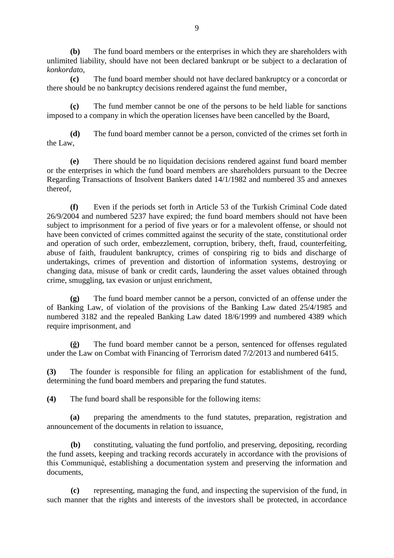**(b)** The fund board members or the enterprises in which they are shareholders with unlimited liability, should have not been declared bankrupt or be subject to a declaration of *konkordato*,

**(c)** The fund board member should not have declared bankruptcy or a concordat or there should be no bankruptcy decisions rendered against the fund member,

**(ç)** The fund member cannot be one of the persons to be held liable for sanctions imposed to a company in which the operation licenses have been cancelled by the Board,

**(d)** The fund board member cannot be a person, convicted of the crimes set forth in the Law,

**(e)** There should be no liquidation decisions rendered against fund board member or the enterprises in which the fund board members are shareholders pursuant to the Decree Regarding Transactions of Insolvent Bankers dated 14/1/1982 and numbered 35 and annexes thereof,

**(f)** Even if the periods set forth in Article 53 of the Turkish Criminal Code dated 26/9/2004 and numbered 5237 have expired; the fund board members should not have been subject to imprisonment for a period of five years or for a malevolent offense, or should not have been convicted of crimes committed against the security of the state, constitutional order and operation of such order, embezzlement, corruption, bribery, theft, fraud, counterfeiting, abuse of faith, fraudulent bankruptcy, crimes of conspiring rig to bids and discharge of undertakings, crimes of prevention and distortion of information systems, destroying or changing data, misuse of bank or credit cards, laundering the asset values obtained through crime, smuggling, tax evasion or unjust enrichment,

**(g)** The fund board member cannot be a person, convicted of an offense under the of Banking Law, of violation of the provisions of the Banking Law dated 25/4/1985 and numbered 3182 and the repealed Banking Law dated 18/6/1999 and numbered 4389 which require imprisonment, and

**(ğ)** The fund board member cannot be a person, sentenced for offenses regulated under the Law on Combat with Financing of Terrorism dated 7/2/2013 and numbered 6415.

**(3)** The founder is responsible for filing an application for establishment of the fund, determining the fund board members and preparing the fund statutes.

**(4)** The fund board shall be responsible for the following items:

**(a)** preparing the amendments to the fund statutes, preparation, registration and announcement of the documents in relation to issuance,

**(b)** constituting, valuating the fund portfolio, and preserving, depositing, recording the fund assets, keeping and tracking records accurately in accordance with the provisions of this Communiqué, establishing a documentation system and preserving the information and documents,

**(c)** representing, managing the fund, and inspecting the supervision of the fund, in such manner that the rights and interests of the investors shall be protected, in accordance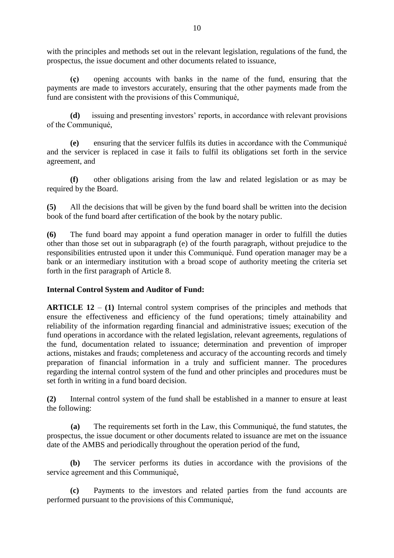with the principles and methods set out in the relevant legislation, regulations of the fund, the prospectus, the issue document and other documents related to issuance,

**(ç)** opening accounts with banks in the name of the fund, ensuring that the payments are made to investors accurately, ensuring that the other payments made from the fund are consistent with the provisions of this Communiqué,

**(d)** issuing and presenting investors' reports, in accordance with relevant provisions of the Communiqué,

**(e)** ensuring that the servicer fulfils its duties in accordance with the Communiqué and the servicer is replaced in case it fails to fulfil its obligations set forth in the service agreement, and

**(f)** other obligations arising from the law and related legislation or as may be required by the Board.

**(5)** All the decisions that will be given by the fund board shall be written into the decision book of the fund board after certification of the book by the notary public.

**(6)** The fund board may appoint a fund operation manager in order to fulfill the duties other than those set out in subparagraph (e) of the fourth paragraph, without prejudice to the responsibilities entrusted upon it under this Communiqué. Fund operation manager may be a bank or an intermediary institution with a broad scope of authority meeting the criteria set forth in the first paragraph of Article 8.

# **Internal Control System and Auditor of Fund:**

**ARTICLE 12** – **(1)** Internal control system comprises of the principles and methods that ensure the effectiveness and efficiency of the fund operations; timely attainability and reliability of the information regarding financial and administrative issues; execution of the fund operations in accordance with the related legislation, relevant agreements, regulations of the fund, documentation related to issuance; determination and prevention of improper actions, mistakes and frauds; completeness and accuracy of the accounting records and timely preparation of financial information in a truly and sufficient manner. The procedures regarding the internal control system of the fund and other principles and procedures must be set forth in writing in a fund board decision.

**(2)** Internal control system of the fund shall be established in a manner to ensure at least the following:

**(a)** The requirements set forth in the Law, this Communiqué, the fund statutes, the prospectus, the issue document or other documents related to issuance are met on the issuance date of the AMBS and periodically throughout the operation period of the fund,

**(b)** The servicer performs its duties in accordance with the provisions of the service agreement and this Communiqué,

**(c)** Payments to the investors and related parties from the fund accounts are performed pursuant to the provisions of this Communiqué,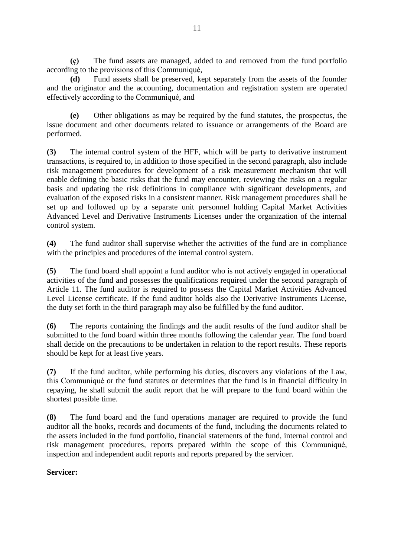**(ç)** The fund assets are managed, added to and removed from the fund portfolio according to the provisions of this Communiqué,

**(d)** Fund assets shall be preserved, kept separately from the assets of the founder and the originator and the accounting, documentation and registration system are operated effectively according to the Communiqué, and

**(e)** Other obligations as may be required by the fund statutes, the prospectus, the issue document and other documents related to issuance or arrangements of the Board are performed.

**(3)** The internal control system of the HFF, which will be party to derivative instrument transactions, is required to, in addition to those specified in the second paragraph, also include risk management procedures for development of a risk measurement mechanism that will enable defining the basic risks that the fund may encounter, reviewing the risks on a regular basis and updating the risk definitions in compliance with significant developments, and evaluation of the exposed risks in a consistent manner. Risk management procedures shall be set up and followed up by a separate unit personnel holding Capital Market Activities Advanced Level and Derivative Instruments Licenses under the organization of the internal control system.

**(4)** The fund auditor shall supervise whether the activities of the fund are in compliance with the principles and procedures of the internal control system.

**(5)** The fund board shall appoint a fund auditor who is not actively engaged in operational activities of the fund and possesses the qualifications required under the second paragraph of Article 11. The fund auditor is required to possess the Capital Market Activities Advanced Level License certificate. If the fund auditor holds also the Derivative Instruments License, the duty set forth in the third paragraph may also be fulfilled by the fund auditor.

**(6)** The reports containing the findings and the audit results of the fund auditor shall be submitted to the fund board within three months following the calendar year. The fund board shall decide on the precautions to be undertaken in relation to the report results. These reports should be kept for at least five years.

**(7)** If the fund auditor, while performing his duties, discovers any violations of the Law, this Communiqué or the fund statutes or determines that the fund is in financial difficulty in repaying, he shall submit the audit report that he will prepare to the fund board within the shortest possible time.

**(8)** The fund board and the fund operations manager are required to provide the fund auditor all the books, records and documents of the fund, including the documents related to the assets included in the fund portfolio, financial statements of the fund, internal control and risk management procedures, reports prepared within the scope of this Communiqué, inspection and independent audit reports and reports prepared by the servicer.

# **Servicer:**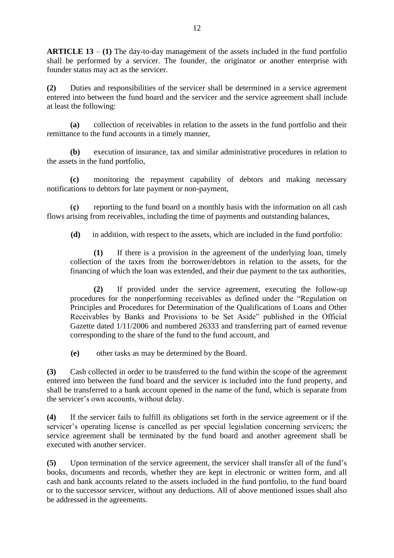**ARTICLE 13** – **(1)** The day-to-day management of the assets included in the fund portfolio shall be performed by a servicer. The founder, the originator or another enterprise with founder status may act as the servicer.

**(2)** Duties and responsibilities of the servicer shall be determined in a service agreement entered into between the fund board and the servicer and the service agreement shall include at least the following:

**(a)** collection of receivables in relation to the assets in the fund portfolio and their remittance to the fund accounts in a timely manner,

**(b)** execution of insurance, tax and similar administrative procedures in relation to the assets in the fund portfolio,

**(c)** monitoring the repayment capability of debtors and making necessary notifications to debtors for late payment or non-payment,

**(ç)** reporting to the fund board on a monthly basis with the information on all cash flows arising from receivables, including the time of payments and outstanding balances,

**(d)** in addition, with respect to the assets, which are included in the fund portfolio:

**(1)** If there is a provision in the agreement of the underlying loan, timely collection of the taxes from the borrower/debtors in relation to the assets, for the financing of which the loan was extended, and their due payment to the tax authorities,

**(2)** If provided under the service agreement, executing the follow-up procedures for the nonperforming receivables as defined under the "Regulation on Principles and Procedures for Determination of the Qualifications of Loans and Other Receivables by Banks and Provisions to be Set Aside" published in the Official Gazette dated 1/11/2006 and numbered 26333 and transferring part of earned revenue corresponding to the share of the fund to the fund account, and

**(e)** other tasks as may be determined by the Board.

**(3)** Cash collected in order to be transferred to the fund within the scope of the agreement entered into between the fund board and the servicer is included into the fund property, and shall be transferred to a bank account opened in the name of the fund, which is separate from the servicer's own accounts, without delay.

**(4)** If the servicer fails to fulfill its obligations set forth in the service agreement or if the servicer's operating license is cancelled as per special legislation concerning servicers; the service agreement shall be terminated by the fund board and another agreement shall be executed with another servicer.

**(5)** Upon termination of the service agreement, the servicer shall transfer all of the fund's books, documents and records, whether they are kept in electronic or written form, and all cash and bank accounts related to the assets included in the fund portfolio, to the fund board or to the successor servicer, without any deductions. All of above mentioned issues shall also be addressed in the agreements.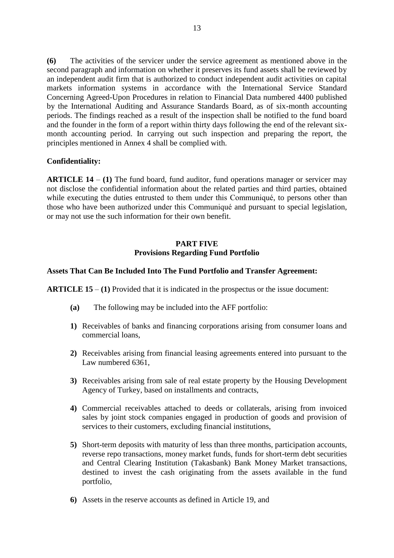**(6)** The activities of the servicer under the service agreement as mentioned above in the second paragraph and information on whether it preserves its fund assets shall be reviewed by an independent audit firm that is authorized to conduct independent audit activities on capital markets information systems in accordance with the International Service Standard Concerning Agreed-Upon Procedures in relation to Financial Data numbered 4400 published by the International Auditing and Assurance Standards Board, as of six-month accounting periods. The findings reached as a result of the inspection shall be notified to the fund board and the founder in the form of a report within thirty days following the end of the relevant sixmonth accounting period. In carrying out such inspection and preparing the report, the principles mentioned in Annex 4 shall be complied with.

### **Confidentiality:**

**ARTICLE 14** – **(1)** The fund board, fund auditor, fund operations manager or servicer may not disclose the confidential information about the related parties and third parties, obtained while executing the duties entrusted to them under this Communiqué, to persons other than those who have been authorized under this Communiqué and pursuant to special legislation, or may not use the such information for their own benefit.

## **PART FIVE Provisions Regarding Fund Portfolio**

### **Assets That Can Be Included Into The Fund Portfolio and Transfer Agreement:**

**ARTICLE 15** – **(1)** Provided that it is indicated in the prospectus or the issue document:

- **(a)** The following may be included into the AFF portfolio:
- **1)** Receivables of banks and financing corporations arising from consumer loans and commercial loans,
- **2)** Receivables arising from financial leasing agreements entered into pursuant to the Law numbered 6361,
- **3)** Receivables arising from sale of real estate property by the Housing Development Agency of Turkey, based on installments and contracts,
- **4)** Commercial receivables attached to deeds or collaterals, arising from invoiced sales by joint stock companies engaged in production of goods and provision of services to their customers, excluding financial institutions,
- **5)** Short-term deposits with maturity of less than three months, participation accounts, reverse repo transactions, money market funds, funds for short-term debt securities and Central Clearing Institution (Takasbank) Bank Money Market transactions, destined to invest the cash originating from the assets available in the fund portfolio,
- **6)** Assets in the reserve accounts as defined in Article 19, and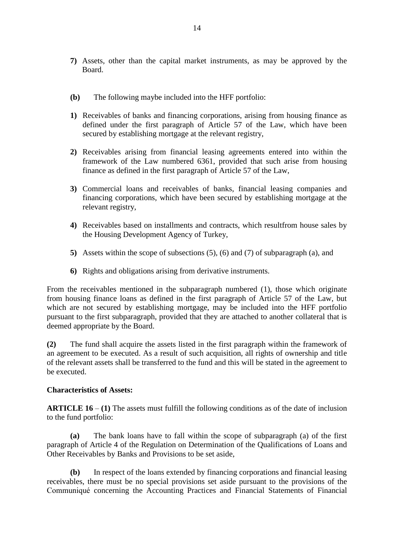- **7)** Assets, other than the capital market instruments, as may be approved by the Board.
- **(b)** The following maybe included into the HFF portfolio:
- **1)** Receivables of banks and financing corporations, arising from housing finance as defined under the first paragraph of Article 57 of the Law, which have been secured by establishing mortgage at the relevant registry,
- **2)** Receivables arising from financial leasing agreements entered into within the framework of the Law numbered 6361, provided that such arise from housing finance as defined in the first paragraph of Article 57 of the Law,
- **3)** Commercial loans and receivables of banks, financial leasing companies and financing corporations, which have been secured by establishing mortgage at the relevant registry,
- **4)** Receivables based on installments and contracts, which resultfrom house sales by the Housing Development Agency of Turkey,
- **5)** Assets within the scope of subsections (5), (6) and (7) of subparagraph (a), and
- **6)** Rights and obligations arising from derivative instruments.

From the receivables mentioned in the subparagraph numbered (1), those which originate from housing finance loans as defined in the first paragraph of Article 57 of the Law, but which are not secured by establishing mortgage, may be included into the HFF portfolio pursuant to the first subparagraph, provided that they are attached to another collateral that is deemed appropriate by the Board.

**(2)** The fund shall acquire the assets listed in the first paragraph within the framework of an agreement to be executed. As a result of such acquisition, all rights of ownership and title of the relevant assets shall be transferred to the fund and this will be stated in the agreement to be executed.

### **Characteristics of Assets:**

**ARTICLE 16** – **(1)** The assets must fulfill the following conditions as of the date of inclusion to the fund portfolio:

**(a)** The bank loans have to fall within the scope of subparagraph (a) of the first paragraph of Article 4 of the Regulation on Determination of the Qualifications of Loans and Other Receivables by Banks and Provisions to be set aside,

**(b)** In respect of the loans extended by financing corporations and financial leasing receivables, there must be no special provisions set aside pursuant to the provisions of the Communiqué concerning the Accounting Practices and Financial Statements of Financial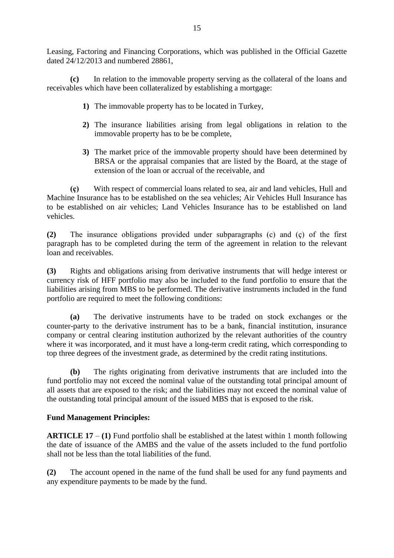Leasing, Factoring and Financing Corporations, which was published in the Official Gazette dated 24/12/2013 and numbered 28861,

**(c)** In relation to the immovable property serving as the collateral of the loans and receivables which have been collateralized by establishing a mortgage:

- **1)** The immovable property has to be located in Turkey,
- **2)** The insurance liabilities arising from legal obligations in relation to the immovable property has to be be complete,
- **3)** The market price of the immovable property should have been determined by BRSA or the appraisal companies that are listed by the Board, at the stage of extension of the loan or accrual of the receivable, and

**(ç)** With respect of commercial loans related to sea, air and land vehicles, Hull and Machine Insurance has to be established on the sea vehicles; Air Vehicles Hull Insurance has to be established on air vehicles; Land Vehicles Insurance has to be established on land vehicles.

**(2)** The insurance obligations provided under subparagraphs (c) and (ç) of the first paragraph has to be completed during the term of the agreement in relation to the relevant loan and receivables.

**(3)** Rights and obligations arising from derivative instruments that will hedge interest or currency risk of HFF portfolio may also be included to the fund portfolio to ensure that the liabilities arising from MBS to be performed. The derivative instruments included in the fund portfolio are required to meet the following conditions:

**(a)** The derivative instruments have to be traded on stock exchanges or the counter-party to the derivative instrument has to be a bank, financial institution, insurance company or central clearing institution authorized by the relevant authorities of the country where it was incorporated, and it must have a long-term credit rating, which corresponding to top three degrees of the investment grade, as determined by the credit rating institutions.

**(b)** The rights originating from derivative instruments that are included into the fund portfolio may not exceed the nominal value of the outstanding total principal amount of all assets that are exposed to the risk; and the liabilities may not exceed the nominal value of the outstanding total principal amount of the issued MBS that is exposed to the risk.

# **Fund Management Principles:**

**ARTICLE 17** – **(1)** Fund portfolio shall be established at the latest within 1 month following the date of issuance of the AMBS and the value of the assets included to the fund portfolio shall not be less than the total liabilities of the fund.

**(2)** The account opened in the name of the fund shall be used for any fund payments and any expenditure payments to be made by the fund.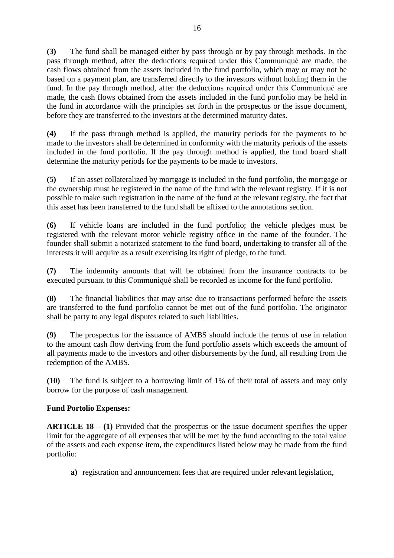**(3)** The fund shall be managed either by pass through or by pay through methods. In the pass through method, after the deductions required under this Communiqué are made, the cash flows obtained from the assets included in the fund portfolio, which may or may not be based on a payment plan, are transferred directly to the investors without holding them in the fund. In the pay through method, after the deductions required under this Communiqué are made, the cash flows obtained from the assets included in the fund portfolio may be held in the fund in accordance with the principles set forth in the prospectus or the issue document, before they are transferred to the investors at the determined maturity dates.

**(4)** If the pass through method is applied, the maturity periods for the payments to be made to the investors shall be determined in conformity with the maturity periods of the assets included in the fund portfolio. If the pay through method is applied, the fund board shall determine the maturity periods for the payments to be made to investors.

**(5)** If an asset collateralized by mortgage is included in the fund portfolio, the mortgage or the ownership must be registered in the name of the fund with the relevant registry. If it is not possible to make such registration in the name of the fund at the relevant registry, the fact that this asset has been transferred to the fund shall be affixed to the annotations section.

**(6)** If vehicle loans are included in the fund portfolio; the vehicle pledges must be registered with the relevant motor vehicle registry office in the name of the founder. The founder shall submit a notarized statement to the fund board, undertaking to transfer all of the interests it will acquire as a result exercising its right of pledge, to the fund.

**(7)** The indemnity amounts that will be obtained from the insurance contracts to be executed pursuant to this Communiqué shall be recorded as income for the fund portfolio.

**(8)** The financial liabilities that may arise due to transactions performed before the assets are transferred to the fund portfolio cannot be met out of the fund portfolio. The originator shall be party to any legal disputes related to such liabilities.

**(9)** The prospectus for the issuance of AMBS should include the terms of use in relation to the amount cash flow deriving from the fund portfolio assets which exceeds the amount of all payments made to the investors and other disbursements by the fund, all resulting from the redemption of the AMBS.

**(10)** The fund is subject to a borrowing limit of 1% of their total of assets and may only borrow for the purpose of cash management.

# **Fund Portolio Expenses:**

**ARTICLE 18** – **(1)** Provided that the prospectus or the issue document specifies the upper limit for the aggregate of all expenses that will be met by the fund according to the total value of the assets and each expense item, the expenditures listed below may be made from the fund portfolio:

**a)** registration and announcement fees that are required under relevant legislation,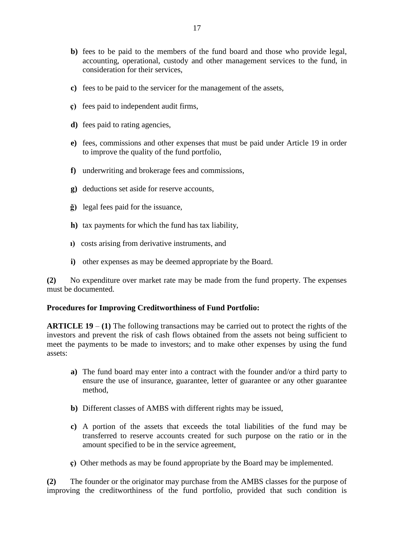- **b**) fees to be paid to the members of the fund board and those who provide legal, accounting, operational, custody and other management services to the fund, in consideration for their services,
- **c)** fees to be paid to the servicer for the management of the assets,
- **ç)** fees paid to independent audit firms,
- **d)** fees paid to rating agencies,
- **e)** fees, commissions and other expenses that must be paid under Article 19 in order to improve the quality of the fund portfolio,
- **f)** underwriting and brokerage fees and commissions,
- **g)** deductions set aside for reserve accounts,
- **ğ)** legal fees paid for the issuance,
- **h)** tax payments for which the fund has tax liability,
- **ı)** costs arising from derivative instruments, and
- **i)** other expenses as may be deemed appropriate by the Board.

**(2)** No expenditure over market rate may be made from the fund property. The expenses must be documented.

#### **Procedures for Improving Creditworthiness of Fund Portfolio:**

**ARTICLE 19** – **(1)** The following transactions may be carried out to protect the rights of the investors and prevent the risk of cash flows obtained from the assets not being sufficient to meet the payments to be made to investors; and to make other expenses by using the fund assets:

- **a)** The fund board may enter into a contract with the founder and/or a third party to ensure the use of insurance, guarantee, letter of guarantee or any other guarantee method,
- **b)** Different classes of AMBS with different rights may be issued,
- **c)** A portion of the assets that exceeds the total liabilities of the fund may be transferred to reserve accounts created for such purpose on the ratio or in the amount specified to be in the service agreement,
- **ç)** Other methods as may be found appropriate by the Board may be implemented.

**(2)** The founder or the originator may purchase from the AMBS classes for the purpose of improving the creditworthiness of the fund portfolio, provided that such condition is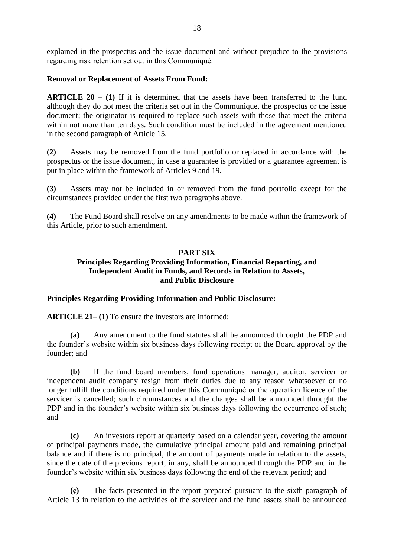explained in the prospectus and the issue document and without prejudice to the provisions regarding risk retention set out in this Communiqué.

## **Removal or Replacement of Assets From Fund:**

**ARTICLE 20** – **(1)** If it is determined that the assets have been transferred to the fund although they do not meet the criteria set out in the Communique, the prospectus or the issue document; the originator is required to replace such assets with those that meet the criteria within not more than ten days. Such condition must be included in the agreement mentioned in the second paragraph of Article 15.

**(2)** Assets may be removed from the fund portfolio or replaced in accordance with the prospectus or the issue document, in case a guarantee is provided or a guarantee agreement is put in place within the framework of Articles 9 and 19.

**(3)** Assets may not be included in or removed from the fund portfolio except for the circumstances provided under the first two paragraphs above.

**(4)** The Fund Board shall resolve on any amendments to be made within the framework of this Article, prior to such amendment.

### **PART SIX**

### **Principles Regarding Providing Information, Financial Reporting, and Independent Audit in Funds, and Records in Relation to Assets, and Public Disclosure**

### **Principles Regarding Providing Information and Public Disclosure:**

**ARTICLE 21**– **(1)** To ensure the investors are informed:

**(a)** Any amendment to the fund statutes shall be announced throught the PDP and the founder's website within six business days following receipt of the Board approval by the founder; and

**(b)** If the fund board members, fund operations manager, auditor, servicer or independent audit company resign from their duties due to any reason whatsoever or no longer fulfill the conditions required under this Communiqué or the operation licence of the servicer is cancelled; such circumstances and the changes shall be announced throught the PDP and in the founder's website within six business days following the occurrence of such; and

**(c)** An investors report at quarterly based on a calendar year, covering the amount of principal payments made, the cumulative principal amount paid and remaining principal balance and if there is no principal, the amount of payments made in relation to the assets, since the date of the previous report, in any, shall be announced through the PDP and in the founder's website within six business days following the end of the relevant period; and

**(ç)** The facts presented in the report prepared pursuant to the sixth paragraph of Article 13 in relation to the activities of the servicer and the fund assets shall be announced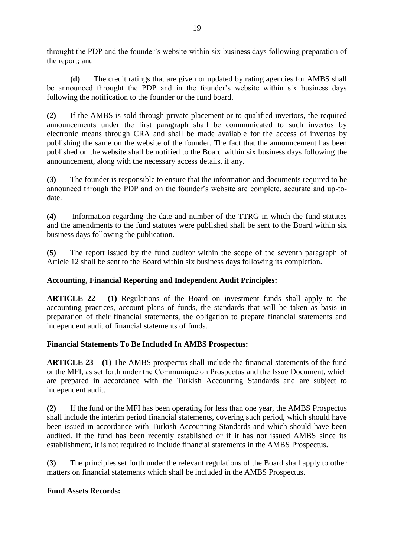throught the PDP and the founder's website within six business days following preparation of the report; and

**(d)** The credit ratings that are given or updated by rating agencies for AMBS shall be announced throught the PDP and in the founder's website within six business days following the notification to the founder or the fund board.

**(2)** If the AMBS is sold through private placement or to qualified invertors, the required announcements under the first paragraph shall be communicated to such invertos by electronic means through CRA and shall be made available for the access of invertos by publishing the same on the website of the founder. The fact that the announcement has been published on the website shall be notified to the Board within six business days following the announcement, along with the necessary access details, if any.

**(3)** The founder is responsible to ensure that the information and documents required to be announced through the PDP and on the founder's website are complete, accurate and up-todate.

**(4)** Information regarding the date and number of the TTRG in which the fund statutes and the amendments to the fund statutes were published shall be sent to the Board within six business days following the publication.

**(5)** The report issued by the fund auditor within the scope of the seventh paragraph of Article 12 shall be sent to the Board within six business days following its completion.

# **Accounting, Financial Reporting and Independent Audit Principles:**

**ARTICLE 22** – **(1)** Regulations of the Board on investment funds shall apply to the accounting practices, account plans of funds, the standards that will be taken as basis in preparation of their financial statements, the obligation to prepare financial statements and independent audit of financial statements of funds.

# **Financial Statements To Be Included In AMBS Prospectus:**

**ARTICLE 23** – **(1)** The AMBS prospectus shall include the financial statements of the fund or the MFI, as set forth under the Communiqué on Prospectus and the Issue Document, which are prepared in accordance with the Turkish Accounting Standards and are subject to independent audit.

**(2)** If the fund or the MFI has been operating for less than one year, the AMBS Prospectus shall include the interim period financial statements, covering such period, which should have been issued in accordance with Turkish Accounting Standards and which should have been audited. If the fund has been recently established or if it has not issued AMBS since its establishment, it is not required to include financial statements in the AMBS Prospectus.

**(3)** The principles set forth under the relevant regulations of the Board shall apply to other matters on financial statements which shall be included in the AMBS Prospectus.

### **Fund Assets Records:**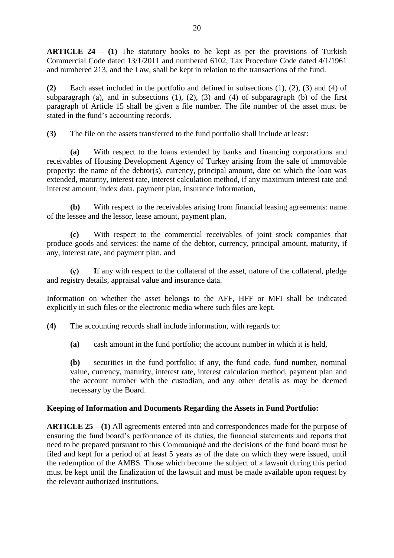**ARTICLE 24** – **(1)** The statutory books to be kept as per the provisions of Turkish Commercial Code dated 13/1/2011 and numbered 6102, Tax Procedure Code dated 4/1/1961 and numbered 213, and the Law, shall be kept in relation to the transactions of the fund.

**(2)** Each asset included in the portfolio and defined in subsections (1), (2), (3) and (4) of subparagraph (a), and in subsections  $(1)$ ,  $(2)$ ,  $(3)$  and  $(4)$  of subparagraph (b) of the first paragraph of Article 15 shall be given a file number. The file number of the asset must be stated in the fund's accounting records.

**(3)** The file on the assets transferred to the fund portfolio shall include at least:

**(a)** With respect to the loans extended by banks and financing corporations and receivables of Housing Development Agency of Turkey arising from the sale of immovable property: the name of the debtor(s), currency, principal amount, date on which the loan was extended, maturity, interest rate, interest calculation method, if any maximum interest rate and interest amount, index data, payment plan, insurance information,

**(b)** With respect to the receivables arising from financial leasing agreements: name of the lessee and the lessor, lease amount, payment plan,

**(c)** With respect to the commercial receivables of joint stock companies that produce goods and services: the name of the debtor, currency, principal amount, maturity, if any, interest rate, and payment plan, and

**(ç) I**f any with respect to the collateral of the asset, nature of the collateral, pledge and registry details, appraisal value and insurance data.

Information on whether the asset belongs to the AFF, HFF or MFI shall be indicated explicitly in such files or the electronic media where such files are kept.

**(4)** The accounting records shall include information, with regards to:

**(a)** cash amount in the fund portfolio; the account number in which it is held,

**(b)** securities in the fund portfolio; if any, the fund code, fund number, nominal value, currency, maturity, interest rate, interest calculation method, payment plan and the account number with the custodian, and any other details as may be deemed necessary by the Board.

# **Keeping of Information and Documents Regarding the Assets in Fund Portfolio:**

**ARTICLE 25** – **(1)** All agreements entered into and correspondences made for the purpose of ensuring the fund board's performance of its duties, the financial statements and reports that need to be prepared pursuant to this Communiqué and the decisions of the fund board must be filed and kept for a period of at least 5 years as of the date on which they were issued, until the redemption of the AMBS. Those which become the subject of a lawsuit during this period must be kept until the finalization of the lawsuit and must be made available upon request by the relevant authorized institutions.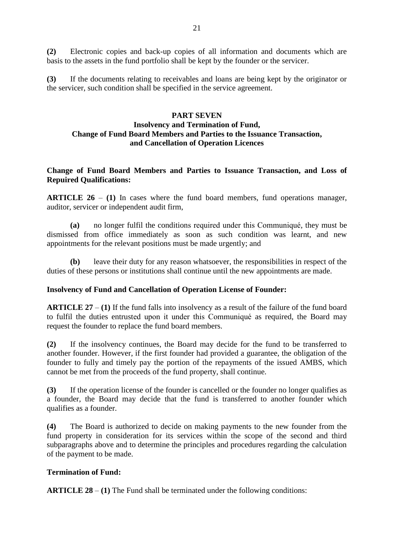**(2)** Electronic copies and back-up copies of all information and documents which are basis to the assets in the fund portfolio shall be kept by the founder or the servicer.

**(3)** If the documents relating to receivables and loans are being kept by the originator or the servicer, such condition shall be specified in the service agreement.

#### **PART SEVEN**

# **Insolvency and Termination of Fund, Change of Fund Board Members and Parties to the Issuance Transaction, and Cancellation of Operation Licences**

**Change of Fund Board Members and Parties to Issuance Transaction, and Loss of Repuired Qualifications:**

**ARTICLE 26** – **(1)** In cases where the fund board members, fund operations manager, auditor, servicer or independent audit firm,

**(a)** no longer fulfil the conditions required under this Communiqué, they must be dismissed from office immediately as soon as such condition was learnt, and new appointments for the relevant positions must be made urgently; and

**(b)** leave their duty for any reason whatsoever, the responsibilities in respect of the duties of these persons or institutions shall continue until the new appointments are made.

#### **Insolvency of Fund and Cancellation of Operation License of Founder:**

**ARTICLE 27** – **(1)** If the fund falls into insolvency as a result of the failure of the fund board to fulfil the duties entrusted upon it under this Communiqué as required, the Board may request the founder to replace the fund board members.

**(2)** If the insolvency continues, the Board may decide for the fund to be transferred to another founder. However, if the first founder had provided a guarantee, the obligation of the founder to fully and timely pay the portion of the repayments of the issued AMBS, which cannot be met from the proceeds of the fund property, shall continue.

**(3)** If the operation license of the founder is cancelled or the founder no longer qualifies as a founder, the Board may decide that the fund is transferred to another founder which qualifies as a founder.

**(4)** The Board is authorized to decide on making payments to the new founder from the fund property in consideration for its services within the scope of the second and third subparagraphs above and to determine the principles and procedures regarding the calculation of the payment to be made.

### **Termination of Fund:**

**ARTICLE 28** – **(1)** The Fund shall be terminated under the following conditions: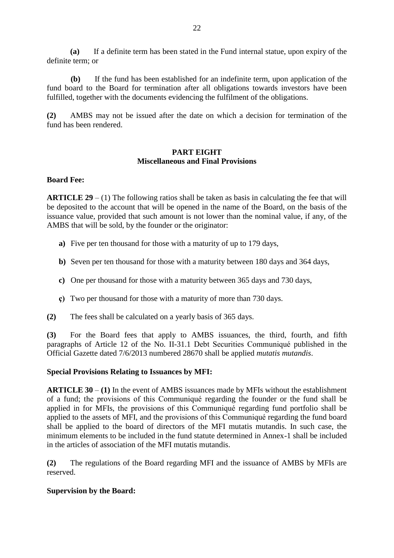**(a)** If a definite term has been stated in the Fund internal statue, upon expiry of the definite term; or

**(b)** If the fund has been established for an indefinite term, upon application of the fund board to the Board for termination after all obligations towards investors have been fulfilled, together with the documents evidencing the fulfilment of the obligations.

**(2)** AMBS may not be issued after the date on which a decision for termination of the fund has been rendered.

## **PART EIGHT Miscellaneous and Final Provisions**

### **Board Fee:**

**ARTICLE 29** – (1) The following ratios shall be taken as basis in calculating the fee that will be deposited to the account that will be opened in the name of the Board, on the basis of the issuance value, provided that such amount is not lower than the nominal value, if any, of the AMBS that will be sold, by the founder or the originator:

- **a)** Five per ten thousand for those with a maturity of up to 179 days,
- **b**) Seven per ten thousand for those with a maturity between 180 days and 364 days,
- **c)** One per thousand for those with a maturity between 365 days and 730 days,
- **ç)** Two per thousand for those with a maturity of more than 730 days.
- **(2)** The fees shall be calculated on a yearly basis of 365 days.

**(3)** For the Board fees that apply to AMBS issuances, the third, fourth, and fifth paragraphs of Article 12 of the No. II-31.1 Debt Securities Communiqué published in the Official Gazette dated 7/6/2013 numbered 28670 shall be applied *mutatis mutandis*.

### **Special Provisions Relating to Issuances by MFI:**

**ARTICLE 30** – **(1)** In the event of AMBS issuances made by MFIs without the establishment of a fund; the provisions of this Communiqué regarding the founder or the fund shall be applied in for MFIs, the provisions of this Communiqué regarding fund portfolio shall be applied to the assets of MFI, and the provisions of this Communiqué regarding the fund board shall be applied to the board of directors of the MFI mutatis mutandis. In such case, the minimum elements to be included in the fund statute determined in Annex-1 shall be included in the articles of association of the MFI mutatis mutandis.

**(2)** The regulations of the Board regarding MFI and the issuance of AMBS by MFIs are reserved.

### **Supervision by the Board:**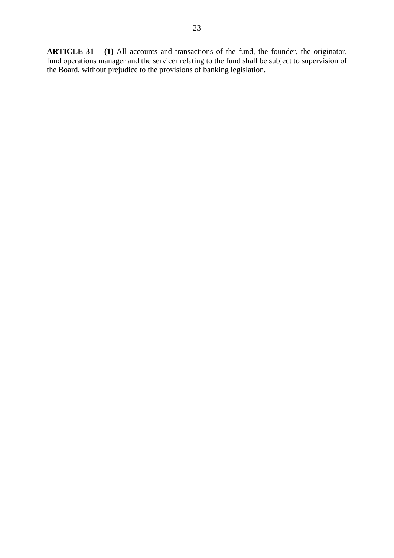**ARTICLE 31** – **(1)** All accounts and transactions of the fund, the founder, the originator, fund operations manager and the servicer relating to the fund shall be subject to supervision of the Board, without prejudice to the provisions of banking legislation.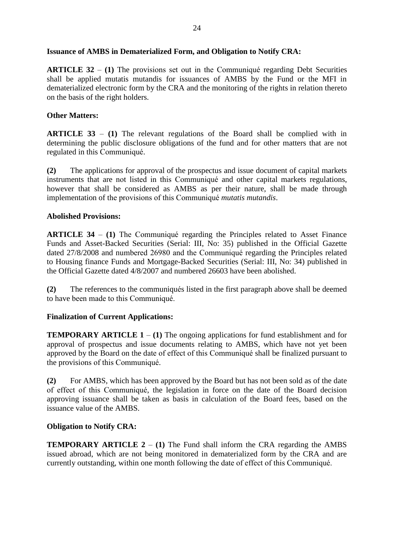### **Issuance of AMBS in Dematerialized Form, and Obligation to Notify CRA:**

**ARTICLE 32** – **(1)** The provisions set out in the Communiqué regarding Debt Securities shall be applied mutatis mutandis for issuances of AMBS by the Fund or the MFI in dematerialized electronic form by the CRA and the monitoring of the rights in relation thereto on the basis of the right holders.

## **Other Matters:**

**ARTICLE 33** – **(1)** The relevant regulations of the Board shall be complied with in determining the public disclosure obligations of the fund and for other matters that are not regulated in this Communiqué.

**(2)** The applications for approval of the prospectus and issue document of capital markets instruments that are not listed in this Communiqué and other capital markets regulations, however that shall be considered as AMBS as per their nature, shall be made through implementation of the provisions of this Communiqué *mutatis mutandis*.

## **Abolished Provisions:**

**ARTICLE 34** – **(1)** The Communiqué regarding the Principles related to Asset Finance Funds and Asset-Backed Securities (Serial: III, No: 35) published in the Official Gazette dated 27/8/2008 and numbered 26980 and the Communiqué regarding the Principles related to Housing finance Funds and Mortgage-Backed Securities (Serial: III, No: 34) published in the Official Gazette dated 4/8/2007 and numbered 26603 have been abolished.

**(2)** The references to the communiqués listed in the first paragraph above shall be deemed to have been made to this Communiqué.

# **Finalization of Current Applications:**

**TEMPORARY ARTICLE**  $1 - (1)$  **The ongoing applications for fund establishment and for** approval of prospectus and issue documents relating to AMBS, which have not yet been approved by the Board on the date of effect of this Communiqué shall be finalized pursuant to the provisions of this Communiqué.

**(2)** For AMBS, which has been approved by the Board but has not been sold as of the date of effect of this Communiqué, the legislation in force on the date of the Board decision approving issuance shall be taken as basis in calculation of the Board fees, based on the issuance value of the AMBS.

### **Obligation to Notify CRA:**

**TEMPORARY ARTICLE**  $2 - (1)$  The Fund shall inform the CRA regarding the AMBS issued abroad, which are not being monitored in dematerialized form by the CRA and are currently outstanding, within one month following the date of effect of this Communiqué.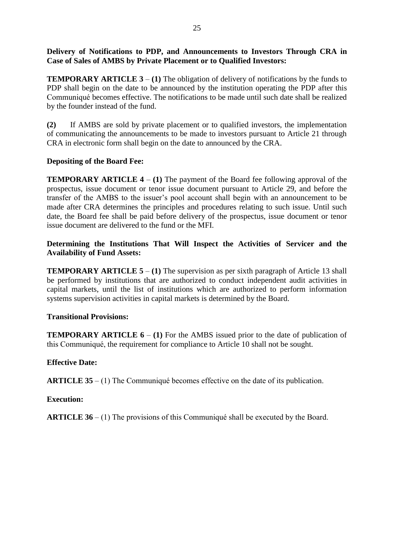# **Delivery of Notifications to PDP, and Announcements to Investors Through CRA in Case of Sales of AMBS by Private Placement or to Qualified Investors:**

**TEMPORARY ARTICLE 3** – **(1)** The obligation of delivery of notifications by the funds to PDP shall begin on the date to be announced by the institution operating the PDP after this Communiqué becomes effective. The notifications to be made until such date shall be realized by the founder instead of the fund.

**(2)** If AMBS are sold by private placement or to qualified investors, the implementation of communicating the announcements to be made to investors pursuant to Article 21 through CRA in electronic form shall begin on the date to announced by the CRA.

# **Depositing of the Board Fee:**

**TEMPORARY ARTICLE**  $4 - (1)$  **The payment of the Board fee following approval of the** prospectus, issue document or tenor issue document pursuant to Article 29, and before the transfer of the AMBS to the issuer's pool account shall begin with an announcement to be made after CRA determines the principles and procedures relating to such issue. Until such date, the Board fee shall be paid before delivery of the prospectus, issue document or tenor issue document are delivered to the fund or the MFI.

## **Determining the Institutions That Will Inspect the Activities of Servicer and the Availability of Fund Assets:**

**TEMPORARY ARTICLE 5 – (1)** The supervision as per sixth paragraph of Article 13 shall be performed by institutions that are authorized to conduct independent audit activities in capital markets, until the list of institutions which are authorized to perform information systems supervision activities in capital markets is determined by the Board.

# **Transitional Provisions:**

**TEMPORARY ARTICLE 6 – (1)** For the AMBS issued prior to the date of publication of this Communiqué, the requirement for compliance to Article 10 shall not be sought.

# **Effective Date:**

**ARTICLE 35** – (1) The Communiqué becomes effective on the date of its publication.

# **Execution:**

**ARTICLE 36** – (1) The provisions of this Communiqué shall be executed by the Board.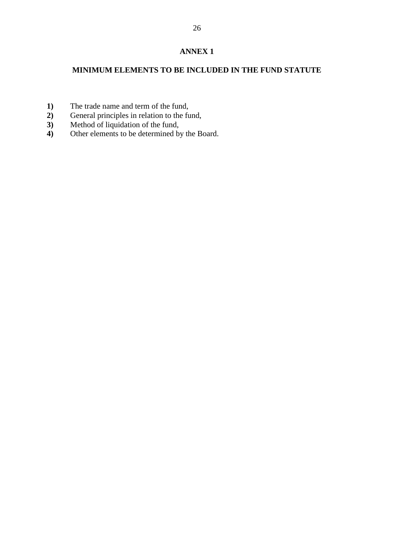# **MINIMUM ELEMENTS TO BE INCLUDED IN THE FUND STATUTE**

- 
- **1)** The trade name and term of the fund,<br>**2)** General principles in relation to the fu 2) General principles in relation to the fund,<br>3) Method of liquidation of the fund,
- **3)** Method of liquidation of the fund,<br>**4)** Other elements to be determined by
- Other elements to be determined by the Board.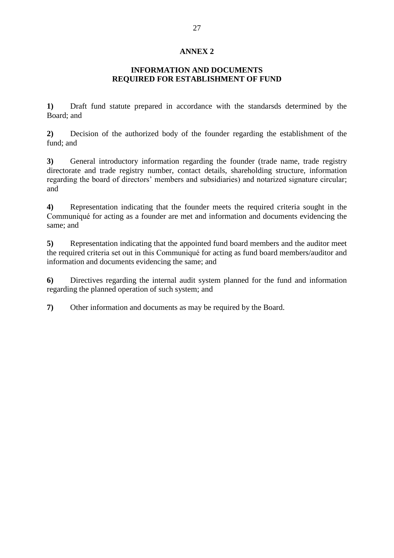### **INFORMATION AND DOCUMENTS REQUIRED FOR ESTABLISHMENT OF FUND**

**1)** Draft fund statute prepared in accordance with the standarsds determined by the Board; and

**2)** Decision of the authorized body of the founder regarding the establishment of the fund; and

**3)** General introductory information regarding the founder (trade name, trade registry directorate and trade registry number, contact details, shareholding structure, information regarding the board of directors' members and subsidiaries) and notarized signature circular; and

**4)** Representation indicating that the founder meets the required criteria sought in the Communiqué for acting as a founder are met and information and documents evidencing the same; and

**5)** Representation indicating that the appointed fund board members and the auditor meet the required criteria set out in this Communiqué for acting as fund board members/auditor and information and documents evidencing the same; and

**6)** Directives regarding the internal audit system planned for the fund and information regarding the planned operation of such system; and

**7)** Other information and documents as may be required by the Board.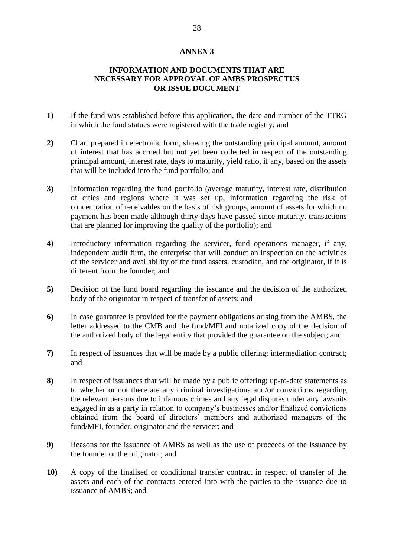## **INFORMATION AND DOCUMENTS THAT ARE NECESSARY FOR APPROVAL OF AMBS PROSPECTUS OR ISSUE DOCUMENT**

- **1)** If the fund was established before this application, the date and number of the TTRG in which the fund statues were registered with the trade registry; and
- **2)** Chart prepared in electronic form, showing the outstanding principal amount, amount of interest that has accrued but not yet been collected in respect of the outstanding principal amount, interest rate, days to maturity, yield ratio, if any, based on the assets that will be included into the fund portfolio; and
- **3)** Information regarding the fund portfolio (average maturity, interest rate, distribution of cities and regions where it was set up, information regarding the risk of concentration of receivables on the basis of risk groups, amount of assets for which no payment has been made although thirty days have passed since maturity, transactions that are planned for improving the quality of the portfolio); and
- **4)** Introductory information regarding the servicer, fund operations manager, if any, independent audit firm, the enterprise that will conduct an inspection on the activities of the servicer and availability of the fund assets, custodian, and the originator, if it is different from the founder; and
- **5)** Decision of the fund board regarding the issuance and the decision of the authorized body of the originator in respect of transfer of assets; and
- **6)** In case guarantee is provided for the payment obligations arising from the AMBS, the letter addressed to the CMB and the fund/MFI and notarized copy of the decision of the authorized body of the legal entity that provided the guarantee on the subject; and
- **7)** In respect of issuances that will be made by a public offering; intermediation contract; and
- **8)** In respect of issuances that will be made by a public offering; up-to-date statements as to whether or not there are any criminal investigations and/or convictions regarding the relevant persons due to infamous crimes and any legal disputes under any lawsuits engaged in as a party in relation to company's businesses and/or finalized convictions obtained from the board of directors' members and authorized managers of the fund/MFI, founder, originator and the servicer; and
- **9)** Reasons for the issuance of AMBS as well as the use of proceeds of the issuance by the founder or the originator; and
- **10)** A copy of the finalised or conditional transfer contract in respect of transfer of the assets and each of the contracts entered into with the parties to the issuance due to issuance of AMBS; and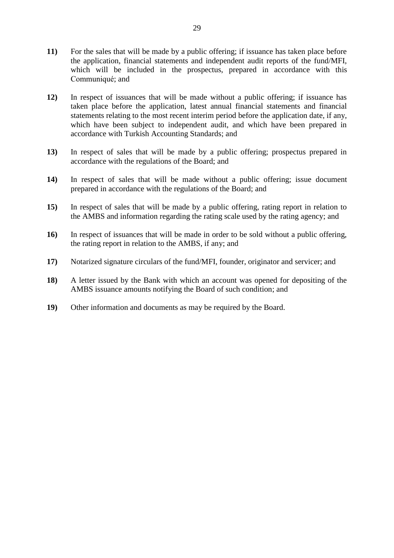- **11)** For the sales that will be made by a public offering; if issuance has taken place before the application, financial statements and independent audit reports of the fund/MFI, which will be included in the prospectus, prepared in accordance with this Communiqué; and
- **12)** In respect of issuances that will be made without a public offering; if issuance has taken place before the application, latest annual financial statements and financial statements relating to the most recent interim period before the application date, if any, which have been subject to independent audit, and which have been prepared in accordance with Turkish Accounting Standards; and
- **13)** In respect of sales that will be made by a public offering; prospectus prepared in accordance with the regulations of the Board; and
- **14)** In respect of sales that will be made without a public offering; issue document prepared in accordance with the regulations of the Board; and
- **15)** In respect of sales that will be made by a public offering, rating report in relation to the AMBS and information regarding the rating scale used by the rating agency; and
- **16)** In respect of issuances that will be made in order to be sold without a public offering, the rating report in relation to the AMBS, if any; and
- **17)** Notarized signature circulars of the fund/MFI, founder, originator and servicer; and
- **18)** A letter issued by the Bank with which an account was opened for depositing of the AMBS issuance amounts notifying the Board of such condition; and
- **19)** Other information and documents as may be required by the Board.